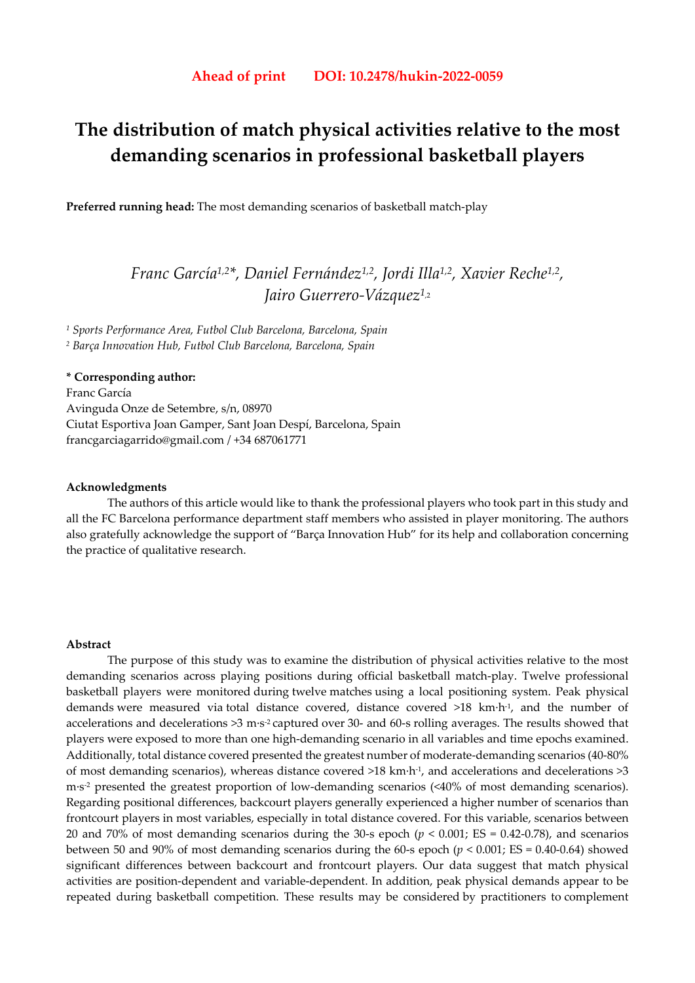# **The distribution of match physical activities relative to the most demanding scenarios in professional basketball players**

**Preferred running head:** The most demanding scenarios of basketball match-play

# *Franc García1,2\*, Daniel Fernández1,2, Jordi Illa1,2, Xavier Reche1,2, Jairo Guerrero-Vázquez1*,2

*1 Sports Performance Area, Futbol Club Barcelona, Barcelona, Spain 2 Barça Innovation Hub, Futbol Club Barcelona, Barcelona, Spain* 

## **\* Corresponding author:**

Franc García Avinguda Onze de Setembre, s/n, 08970 Ciutat Esportiva Joan Gamper, Sant Joan Despí, Barcelona, Spain francgarciagarrido@gmail.com / +34 687061771

#### **Acknowledgments**

The authors of this article would like to thank the professional players who took part in this study and all the FC Barcelona performance department staff members who assisted in player monitoring. The authors also gratefully acknowledge the support of "Barça Innovation Hub" for its help and collaboration concerning the practice of qualitative research.

#### **Abstract**

The purpose of this study was to examine the distribution of physical activities relative to the most demanding scenarios across playing positions during official basketball match-play. Twelve professional basketball players were monitored during twelve matches using a local positioning system. Peak physical demands were measured via total distance covered, distance covered >18 km·h-1, and the number of accelerations and decelerations >3 m·s-2 captured over 30- and 60-s rolling averages. The results showed that players were exposed to more than one high-demanding scenario in all variables and time epochs examined. Additionally, total distance covered presented the greatest number of moderate-demanding scenarios (40-80% of most demanding scenarios), whereas distance covered  $>18$  km·h<sup>-1</sup>, and accelerations and decelerations  $>3$ m·s<sup>-2</sup> presented the greatest proportion of low-demanding scenarios (<40% of most demanding scenarios). Regarding positional differences, backcourt players generally experienced a higher number of scenarios than frontcourt players in most variables, especially in total distance covered. For this variable, scenarios between 20 and 70% of most demanding scenarios during the 30-s epoch (*p* < 0.001; ES = 0.42-0.78), and scenarios between 50 and 90% of most demanding scenarios during the 60-s epoch  $(p < 0.001; ES = 0.40-0.64)$  showed significant differences between backcourt and frontcourt players. Our data suggest that match physical activities are position-dependent and variable-dependent. In addition, peak physical demands appear to be repeated during basketball competition. These results may be considered by practitioners to complement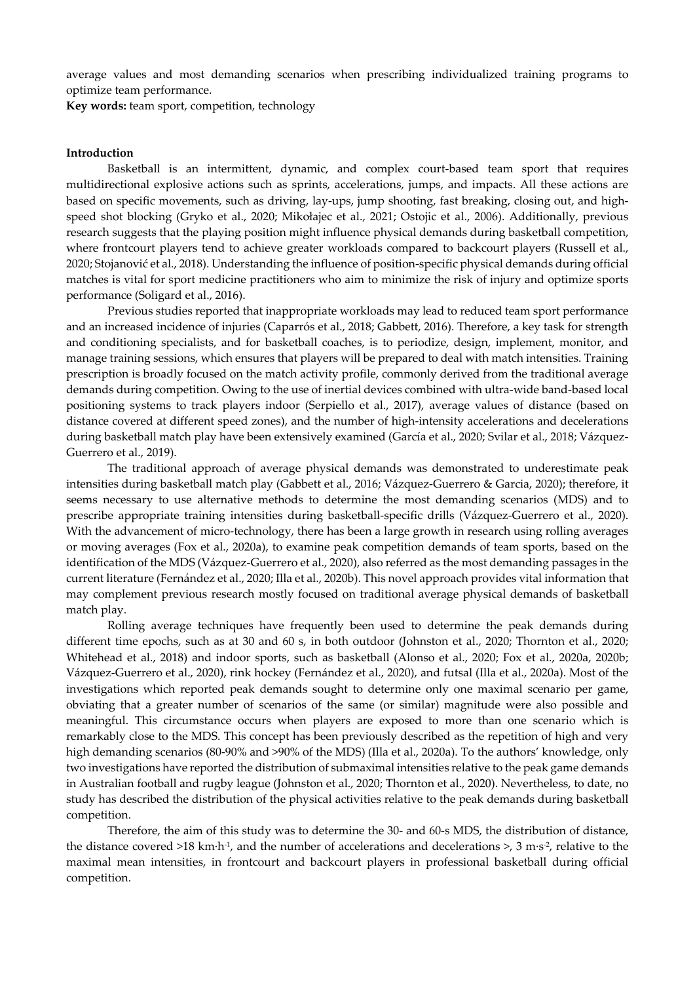average values and most demanding scenarios when prescribing individualized training programs to optimize team performance.

**Key words:** team sport, competition, technology

#### **Introduction**

Basketball is an intermittent, dynamic, and complex court-based team sport that requires multidirectional explosive actions such as sprints, accelerations, jumps, and impacts. All these actions are based on specific movements, such as driving, lay-ups, jump shooting, fast breaking, closing out, and highspeed shot blocking (Gryko et al., 2020; Mikołajec et al., 2021; Ostojic et al., 2006). Additionally, previous research suggests that the playing position might influence physical demands during basketball competition, where frontcourt players tend to achieve greater workloads compared to backcourt players (Russell et al., 2020; Stojanović et al., 2018). Understanding the influence of position-specific physical demands during official matches is vital for sport medicine practitioners who aim to minimize the risk of injury and optimize sports performance (Soligard et al., 2016).

Previous studies reported that inappropriate workloads may lead to reduced team sport performance and an increased incidence of injuries (Caparrós et al., 2018; Gabbett, 2016). Therefore, a key task for strength and conditioning specialists, and for basketball coaches, is to periodize, design, implement, monitor, and manage training sessions, which ensures that players will be prepared to deal with match intensities. Training prescription is broadly focused on the match activity profile, commonly derived from the traditional average demands during competition. Owing to the use of inertial devices combined with ultra-wide band-based local positioning systems to track players indoor (Serpiello et al., 2017), average values of distance (based on distance covered at different speed zones), and the number of high-intensity accelerations and decelerations during basketball match play have been extensively examined (García et al., 2020; Svilar et al., 2018; Vázquez-Guerrero et al., 2019).

The traditional approach of average physical demands was demonstrated to underestimate peak intensities during basketball match play (Gabbett et al., 2016; Vázquez-Guerrero & Garcia, 2020); therefore, it seems necessary to use alternative methods to determine the most demanding scenarios (MDS) and to prescribe appropriate training intensities during basketball-specific drills (Vázquez-Guerrero et al., 2020). With the advancement of micro-technology, there has been a large growth in research using rolling averages or moving averages (Fox et al., 2020a), to examine peak competition demands of team sports, based on the identification of the MDS (Vázquez-Guerrero et al., 2020), also referred as the most demanding passages in the current literature (Fernández et al., 2020; Illa et al., 2020b). This novel approach provides vital information that may complement previous research mostly focused on traditional average physical demands of basketball match play.

Rolling average techniques have frequently been used to determine the peak demands during different time epochs, such as at 30 and 60 s, in both outdoor (Johnston et al., 2020; Thornton et al., 2020; Whitehead et al., 2018) and indoor sports, such as basketball (Alonso et al., 2020; Fox et al., 2020a, 2020b; Vázquez-Guerrero et al., 2020), rink hockey (Fernández et al., 2020), and futsal (Illa et al., 2020a). Most of the investigations which reported peak demands sought to determine only one maximal scenario per game, obviating that a greater number of scenarios of the same (or similar) magnitude were also possible and meaningful. This circumstance occurs when players are exposed to more than one scenario which is remarkably close to the MDS. This concept has been previously described as the repetition of high and very high demanding scenarios (80-90% and >90% of the MDS) (Illa et al., 2020a). To the authors' knowledge, only two investigations have reported the distribution of submaximal intensities relative to the peak game demands in Australian football and rugby league (Johnston et al., 2020; Thornton et al., 2020). Nevertheless, to date, no study has described the distribution of the physical activities relative to the peak demands during basketball competition.

Therefore, the aim of this study was to determine the 30- and 60-s MDS, the distribution of distance, the distance covered  $>18$  km·h<sup>-1</sup>, and the number of accelerations and decelerations  $>$ , 3 m·s<sup>-2</sup>, relative to the maximal mean intensities, in frontcourt and backcourt players in professional basketball during official competition.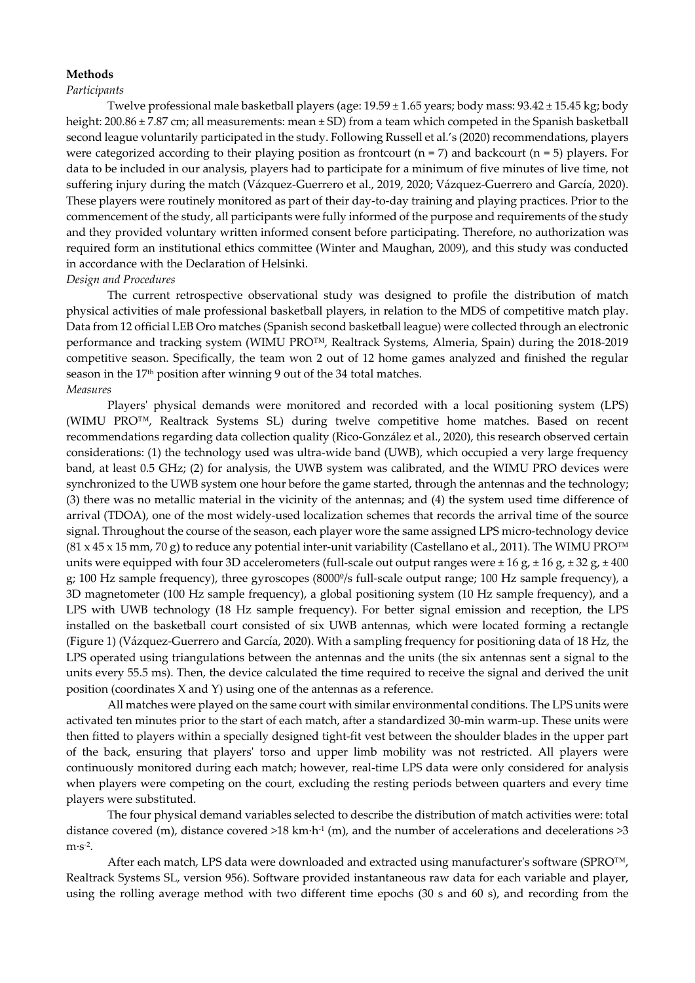#### **Methods**

#### *Participants*

 Twelve professional male basketball players (age: 19.59 ± 1.65 years; body mass: 93.42 ± 15.45 kg; body height: 200.86 ± 7.87 cm; all measurements: mean ± SD) from a team which competed in the Spanish basketball second league voluntarily participated in the study. Following Russell et al.'s (2020) recommendations, players were categorized according to their playing position as frontcourt ( $n = 7$ ) and backcourt ( $n = 5$ ) players. For data to be included in our analysis, players had to participate for a minimum of five minutes of live time, not suffering injury during the match (Vázquez-Guerrero et al., 2019, 2020; Vázquez-Guerrero and García, 2020). These players were routinely monitored as part of their day-to-day training and playing practices. Prior to the commencement of the study, all participants were fully informed of the purpose and requirements of the study and they provided voluntary written informed consent before participating. Therefore, no authorization was required form an institutional ethics committee (Winter and Maughan, 2009), and this study was conducted in accordance with the Declaration of Helsinki.

### *Design and Procedures*

 The current retrospective observational study was designed to profile the distribution of match physical activities of male professional basketball players, in relation to the MDS of competitive match play. Data from 12 official LEB Oro matches (Spanish second basketball league) were collected through an electronic performance and tracking system (WIMU PRO™, Realtrack Systems, Almeria, Spain) during the 2018-2019 competitive season. Specifically, the team won 2 out of 12 home games analyzed and finished the regular season in the 17<sup>th</sup> position after winning 9 out of the 34 total matches. *Measures* 

Players' physical demands were monitored and recorded with a local positioning system (LPS) (WIMU PRO™, Realtrack Systems SL) during twelve competitive home matches. Based on recent recommendations regarding data collection quality (Rico-González et al., 2020), this research observed certain considerations: (1) the technology used was ultra-wide band (UWB), which occupied a very large frequency band, at least 0.5 GHz; (2) for analysis, the UWB system was calibrated, and the WIMU PRO devices were synchronized to the UWB system one hour before the game started, through the antennas and the technology; (3) there was no metallic material in the vicinity of the antennas; and (4) the system used time difference of arrival (TDOA), one of the most widely-used localization schemes that records the arrival time of the source signal. Throughout the course of the season, each player wore the same assigned LPS micro-technology device  $(81 \times 45 \times 15 \text{ mm}, 70 \text{ g})$  to reduce any potential inter-unit variability (Castellano et al., 2011). The WIMU PRO<sup>™</sup> units were equipped with four 3D accelerometers (full-scale out output ranges were  $\pm 16$  g,  $\pm 16$  g,  $\pm 32$  g,  $\pm 400$ g; 100 Hz sample frequency), three gyroscopes (8000º/s full-scale output range; 100 Hz sample frequency), a 3D magnetometer (100 Hz sample frequency), a global positioning system (10 Hz sample frequency), and a LPS with UWB technology (18 Hz sample frequency). For better signal emission and reception, the LPS installed on the basketball court consisted of six UWB antennas, which were located forming a rectangle (Figure 1) (Vázquez-Guerrero and García, 2020). With a sampling frequency for positioning data of 18 Hz, the LPS operated using triangulations between the antennas and the units (the six antennas sent a signal to the units every 55.5 ms). Then, the device calculated the time required to receive the signal and derived the unit position (coordinates X and Y) using one of the antennas as a reference.

 All matches were played on the same court with similar environmental conditions. The LPS units were activated ten minutes prior to the start of each match, after a standardized 30-min warm-up. These units were then fitted to players within a specially designed tight-fit vest between the shoulder blades in the upper part of the back, ensuring that players' torso and upper limb mobility was not restricted. All players were continuously monitored during each match; however, real-time LPS data were only considered for analysis when players were competing on the court, excluding the resting periods between quarters and every time players were substituted.

 The four physical demand variables selected to describe the distribution of match activities were: total distance covered (m), distance covered  $>18$  km·h<sup>-1</sup> (m), and the number of accelerations and decelerations  $>3$  $m·s-2$ .

After each match, LPS data were downloaded and extracted using manufacturer's software (SPRO™, Realtrack Systems SL, version 956). Software provided instantaneous raw data for each variable and player, using the rolling average method with two different time epochs (30 s and 60 s), and recording from the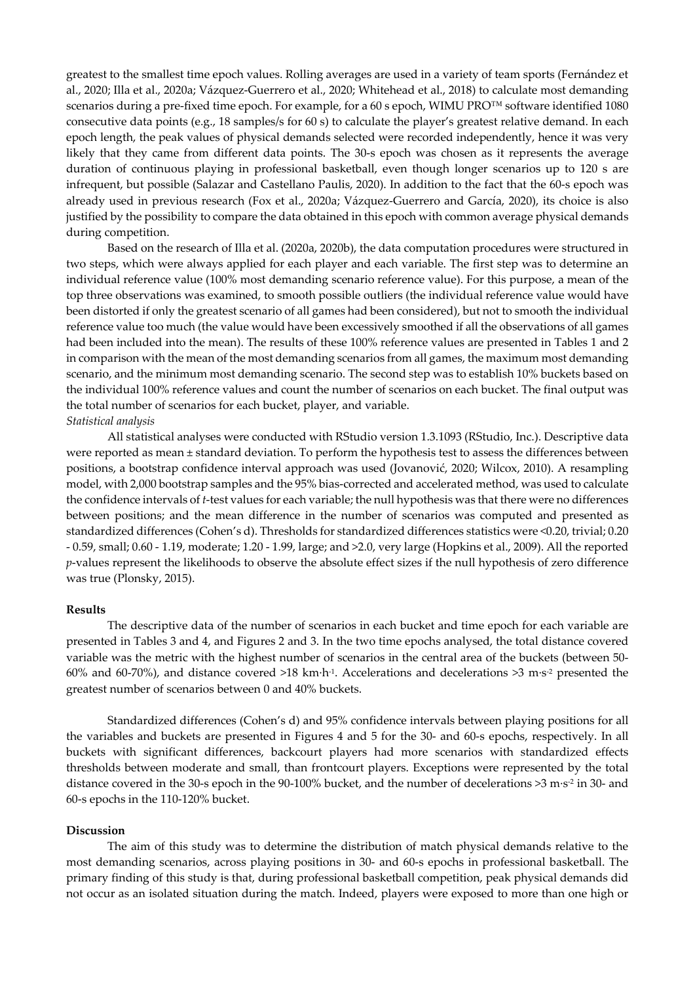greatest to the smallest time epoch values. Rolling averages are used in a variety of team sports (Fernández et al., 2020; Illa et al., 2020a; Vázquez-Guerrero et al., 2020; Whitehead et al., 2018) to calculate most demanding scenarios during a pre-fixed time epoch. For example, for a 60 s epoch, WIMU PRO™ software identified 1080 consecutive data points (e.g., 18 samples/s for 60 s) to calculate the player's greatest relative demand. In each epoch length, the peak values of physical demands selected were recorded independently, hence it was very likely that they came from different data points. The 30-s epoch was chosen as it represents the average duration of continuous playing in professional basketball, even though longer scenarios up to 120 s are infrequent, but possible (Salazar and Castellano Paulis, 2020). In addition to the fact that the 60-s epoch was already used in previous research (Fox et al., 2020a; Vázquez-Guerrero and García, 2020), its choice is also justified by the possibility to compare the data obtained in this epoch with common average physical demands during competition.

Based on the research of Illa et al. (2020a, 2020b), the data computation procedures were structured in two steps, which were always applied for each player and each variable. The first step was to determine an individual reference value (100% most demanding scenario reference value). For this purpose, a mean of the top three observations was examined, to smooth possible outliers (the individual reference value would have been distorted if only the greatest scenario of all games had been considered), but not to smooth the individual reference value too much (the value would have been excessively smoothed if all the observations of all games had been included into the mean). The results of these 100% reference values are presented in Tables 1 and 2 in comparison with the mean of the most demanding scenarios from all games, the maximum most demanding scenario, and the minimum most demanding scenario. The second step was to establish 10% buckets based on the individual 100% reference values and count the number of scenarios on each bucket. The final output was the total number of scenarios for each bucket, player, and variable. *Statistical analysis* 

All statistical analyses were conducted with RStudio version 1.3.1093 (RStudio, Inc.). Descriptive data were reported as mean ± standard deviation. To perform the hypothesis test to assess the differences between positions, a bootstrap confidence interval approach was used (Jovanović, 2020; Wilcox, 2010). A resampling model, with 2,000 bootstrap samples and the 95% bias-corrected and accelerated method, was used to calculate the confidence intervals of *t*-test values for each variable; the null hypothesis was that there were no differences between positions; and the mean difference in the number of scenarios was computed and presented as standardized differences (Cohen's d). Thresholds for standardized differences statistics were <0.20, trivial; 0.20 - 0.59, small; 0.60 - 1.19, moderate; 1.20 - 1.99, large; and >2.0, very large (Hopkins et al., 2009). All the reported *p*-values represent the likelihoods to observe the absolute effect sizes if the null hypothesis of zero difference was true (Plonsky, 2015).

#### **Results**

The descriptive data of the number of scenarios in each bucket and time epoch for each variable are presented in Tables 3 and 4, and Figures 2 and 3. In the two time epochs analysed, the total distance covered variable was the metric with the highest number of scenarios in the central area of the buckets (between 50- 60% and 60-70%), and distance covered >18 km·h<sup>-1</sup>. Accelerations and decelerations >3 m·s<sup>-2</sup> presented the greatest number of scenarios between 0 and 40% buckets.

Standardized differences (Cohen's d) and 95% confidence intervals between playing positions for all the variables and buckets are presented in Figures 4 and 5 for the 30- and 60-s epochs, respectively. In all buckets with significant differences, backcourt players had more scenarios with standardized effects thresholds between moderate and small, than frontcourt players. Exceptions were represented by the total distance covered in the 30-s epoch in the 90-100% bucket, and the number of decelerations >3 m·s<sup>-2</sup> in 30- and 60-s epochs in the 110-120% bucket.

#### **Discussion**

The aim of this study was to determine the distribution of match physical demands relative to the most demanding scenarios, across playing positions in 30- and 60-s epochs in professional basketball. The primary finding of this study is that, during professional basketball competition, peak physical demands did not occur as an isolated situation during the match. Indeed, players were exposed to more than one high or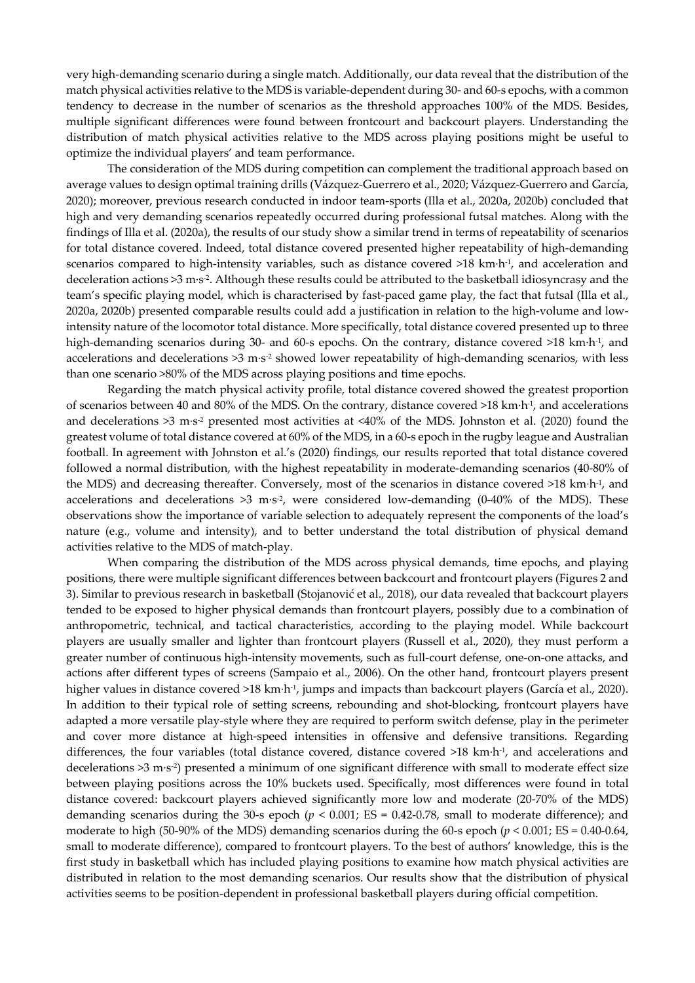very high-demanding scenario during a single match. Additionally, our data reveal that the distribution of the match physical activities relative to the MDS is variable-dependent during 30- and 60-s epochs, with a common tendency to decrease in the number of scenarios as the threshold approaches 100% of the MDS. Besides, multiple significant differences were found between frontcourt and backcourt players. Understanding the distribution of match physical activities relative to the MDS across playing positions might be useful to optimize the individual players' and team performance.

The consideration of the MDS during competition can complement the traditional approach based on average values to design optimal training drills (Vázquez-Guerrero et al., 2020; Vázquez-Guerrero and García, 2020); moreover, previous research conducted in indoor team-sports (Illa et al., 2020a, 2020b) concluded that high and very demanding scenarios repeatedly occurred during professional futsal matches. Along with the findings of Illa et al. (2020a), the results of our study show a similar trend in terms of repeatability of scenarios for total distance covered. Indeed, total distance covered presented higher repeatability of high-demanding scenarios compared to high-intensity variables, such as distance covered >18 km·h<sup>-1</sup>, and acceleration and deceleration actions  $>3$  m·s<sup>-2</sup>. Although these results could be attributed to the basketball idiosyncrasy and the team's specific playing model, which is characterised by fast-paced game play, the fact that futsal (Illa et al., 2020a, 2020b) presented comparable results could add a justification in relation to the high-volume and lowintensity nature of the locomotor total distance. More specifically, total distance covered presented up to three high-demanding scenarios during 30- and 60-s epochs. On the contrary, distance covered >18 km·h<sup>-1</sup>, and accelerations and decelerations  $>3$  m·s<sup>-2</sup> showed lower repeatability of high-demanding scenarios, with less than one scenario >80% of the MDS across playing positions and time epochs.

Regarding the match physical activity profile, total distance covered showed the greatest proportion of scenarios between 40 and 80% of the MDS. On the contrary, distance covered >18 km·h-1, and accelerations and decelerations  $>3$  m·s<sup>-2</sup> presented most activities at  $\langle 40\%$  of the MDS. Johnston et al. (2020) found the greatest volume of total distance covered at 60% of the MDS, in a 60-s epoch in the rugby league and Australian football. In agreement with Johnston et al.'s (2020) findings, our results reported that total distance covered followed a normal distribution, with the highest repeatability in moderate-demanding scenarios (40-80% of the MDS) and decreasing thereafter. Conversely, most of the scenarios in distance covered >18 km·h-1, and accelerations and decelerations  $>3$  m·s<sup>-2</sup>, were considered low-demanding (0-40% of the MDS). These observations show the importance of variable selection to adequately represent the components of the load's nature (e.g., volume and intensity), and to better understand the total distribution of physical demand activities relative to the MDS of match-play.

When comparing the distribution of the MDS across physical demands, time epochs, and playing positions, there were multiple significant differences between backcourt and frontcourt players (Figures 2 and 3). Similar to previous research in basketball (Stojanović et al., 2018), our data revealed that backcourt players tended to be exposed to higher physical demands than frontcourt players, possibly due to a combination of anthropometric, technical, and tactical characteristics, according to the playing model. While backcourt players are usually smaller and lighter than frontcourt players (Russell et al., 2020), they must perform a greater number of continuous high-intensity movements, such as full-court defense, one-on-one attacks, and actions after different types of screens (Sampaio et al., 2006). On the other hand, frontcourt players present higher values in distance covered >18 km·h<sup>-1</sup>, jumps and impacts than backcourt players (García et al., 2020). In addition to their typical role of setting screens, rebounding and shot-blocking, frontcourt players have adapted a more versatile play-style where they are required to perform switch defense, play in the perimeter and cover more distance at high-speed intensities in offensive and defensive transitions. Regarding differences, the four variables (total distance covered, distance covered >18 km·h-1, and accelerations and decelerations >3 m·s<sup>-2</sup>) presented a minimum of one significant difference with small to moderate effect size between playing positions across the 10% buckets used. Specifically, most differences were found in total distance covered: backcourt players achieved significantly more low and moderate (20-70% of the MDS) demanding scenarios during the 30-s epoch ( $p < 0.001$ ; ES = 0.42-0.78, small to moderate difference); and moderate to high (50-90% of the MDS) demanding scenarios during the 60-s epoch ( $p < 0.001$ ; ES = 0.40-0.64, small to moderate difference), compared to frontcourt players. To the best of authors' knowledge, this is the first study in basketball which has included playing positions to examine how match physical activities are distributed in relation to the most demanding scenarios. Our results show that the distribution of physical activities seems to be position-dependent in professional basketball players during official competition.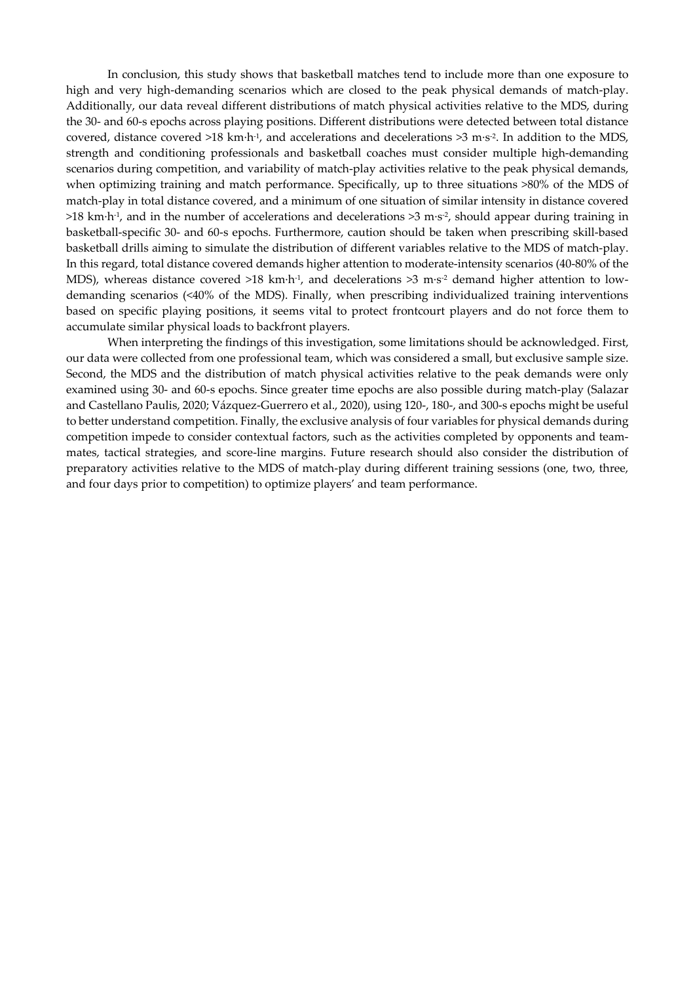In conclusion, this study shows that basketball matches tend to include more than one exposure to high and very high-demanding scenarios which are closed to the peak physical demands of match-play. Additionally, our data reveal different distributions of match physical activities relative to the MDS, during the 30- and 60-s epochs across playing positions. Different distributions were detected between total distance covered, distance covered >18 km·h<sup>-1</sup>, and accelerations and decelerations >3 m·s<sup>-2</sup>. In addition to the MDS, strength and conditioning professionals and basketball coaches must consider multiple high-demanding scenarios during competition, and variability of match-play activities relative to the peak physical demands, when optimizing training and match performance. Specifically, up to three situations >80% of the MDS of match-play in total distance covered, and a minimum of one situation of similar intensity in distance covered  $>18$  km·h<sup>-1</sup>, and in the number of accelerations and decelerations  $>3$  m·s<sup>-2</sup>, should appear during training in basketball-specific 30- and 60-s epochs. Furthermore, caution should be taken when prescribing skill-based basketball drills aiming to simulate the distribution of different variables relative to the MDS of match-play. In this regard, total distance covered demands higher attention to moderate-intensity scenarios (40-80% of the MDS), whereas distance covered >18 km·h<sup>-1</sup>, and decelerations >3 m·s<sup>-2</sup> demand higher attention to lowdemanding scenarios (<40% of the MDS). Finally, when prescribing individualized training interventions based on specific playing positions, it seems vital to protect frontcourt players and do not force them to accumulate similar physical loads to backfront players.

When interpreting the findings of this investigation, some limitations should be acknowledged. First, our data were collected from one professional team, which was considered a small, but exclusive sample size. Second, the MDS and the distribution of match physical activities relative to the peak demands were only examined using 30- and 60-s epochs. Since greater time epochs are also possible during match-play (Salazar and Castellano Paulis, 2020; Vázquez-Guerrero et al., 2020), using 120-, 180-, and 300-s epochs might be useful to better understand competition. Finally, the exclusive analysis of four variables for physical demands during competition impede to consider contextual factors, such as the activities completed by opponents and teammates, tactical strategies, and score-line margins. Future research should also consider the distribution of preparatory activities relative to the MDS of match-play during different training sessions (one, two, three, and four days prior to competition) to optimize players' and team performance.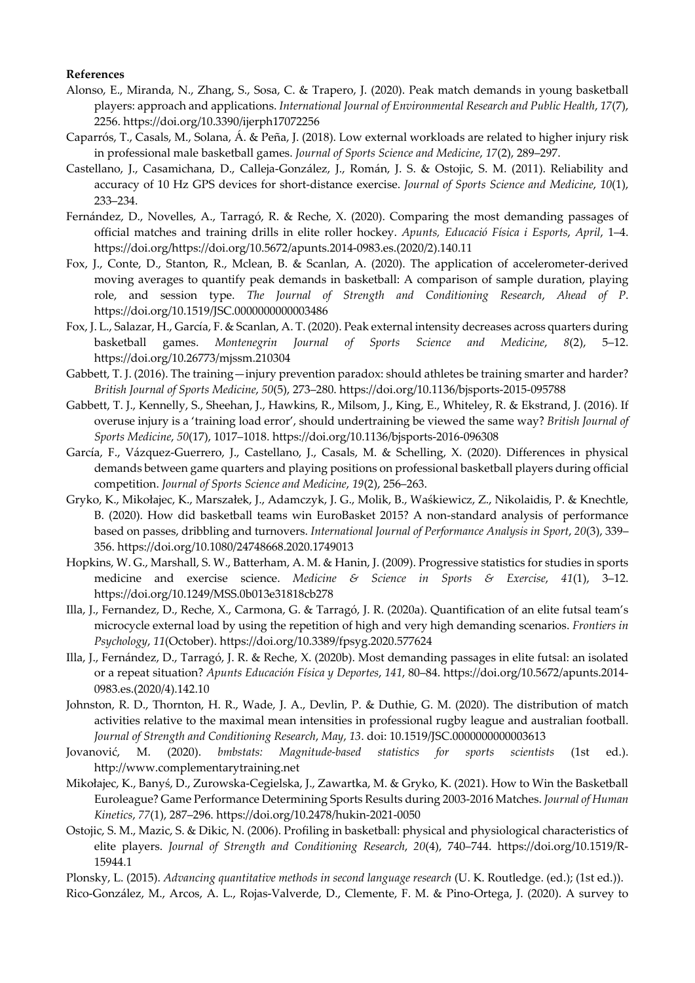#### **References**

- Alonso, E., Miranda, N., Zhang, S., Sosa, C. & Trapero, J. (2020). Peak match demands in young basketball players: approach and applications. *International Journal of Environmental Research and Public Health*, *17*(7), 2256. https://doi.org/10.3390/ijerph17072256
- Caparrós, T., Casals, M., Solana, Á. & Peña, J. (2018). Low external workloads are related to higher injury risk in professional male basketball games. *Journal of Sports Science and Medicine*, *17*(2), 289–297.
- Castellano, J., Casamichana, D., Calleja-González, J., Román, J. S. & Ostojic, S. M. (2011). Reliability and accuracy of 10 Hz GPS devices for short-distance exercise. *Journal of Sports Science and Medicine*, *10*(1), 233–234.
- Fernández, D., Novelles, A., Tarragó, R. & Reche, X. (2020). Comparing the most demanding passages of official matches and training drills in elite roller hockey. *Apunts, Educació Física i Esports*, *April*, 1–4. https://doi.org/https://doi.org/10.5672/apunts.2014-0983.es.(2020/2).140.11
- Fox, J., Conte, D., Stanton, R., Mclean, B. & Scanlan, A. (2020). The application of accelerometer-derived moving averages to quantify peak demands in basketball: A comparison of sample duration, playing role, and session type. *The Journal of Strength and Conditioning Research*, *Ahead of P*. https://doi.org/10.1519/JSC.0000000000003486
- Fox, J. L., Salazar, H., García, F. & Scanlan, A. T. (2020). Peak external intensity decreases across quarters during basketball games. *Montenegrin Journal of Sports Science and Medicine*, *8*(2), 5–12. https://doi.org/10.26773/mjssm.210304
- Gabbett, T. J. (2016). The training—injury prevention paradox: should athletes be training smarter and harder? *British Journal of Sports Medicine*, *50*(5), 273–280. https://doi.org/10.1136/bjsports-2015-095788
- Gabbett, T. J., Kennelly, S., Sheehan, J., Hawkins, R., Milsom, J., King, E., Whiteley, R. & Ekstrand, J. (2016). If overuse injury is a 'training load error', should undertraining be viewed the same way? *British Journal of Sports Medicine*, *50*(17), 1017–1018. https://doi.org/10.1136/bjsports-2016-096308
- García, F., Vázquez-Guerrero, J., Castellano, J., Casals, M. & Schelling, X. (2020). Differences in physical demands between game quarters and playing positions on professional basketball players during official competition. *Journal of Sports Science and Medicine*, *19*(2), 256–263.
- Gryko, K., Mikołajec, K., Marszałek, J., Adamczyk, J. G., Molik, B., Waśkiewicz, Z., Nikolaidis, P. & Knechtle, B. (2020). How did basketball teams win EuroBasket 2015? A non-standard analysis of performance based on passes, dribbling and turnovers. *International Journal of Performance Analysis in Sport*, *20*(3), 339– 356. https://doi.org/10.1080/24748668.2020.1749013
- Hopkins, W. G., Marshall, S. W., Batterham, A. M. & Hanin, J. (2009). Progressive statistics for studies in sports medicine and exercise science. *Medicine & Science in Sports & Exercise*, *41*(1), 3–12. https://doi.org/10.1249/MSS.0b013e31818cb278
- Illa, J., Fernandez, D., Reche, X., Carmona, G. & Tarragó, J. R. (2020a). Quantification of an elite futsal team's microcycle external load by using the repetition of high and very high demanding scenarios. *Frontiers in Psychology*, *11*(October). https://doi.org/10.3389/fpsyg.2020.577624
- Illa, J., Fernández, D., Tarragó, J. R. & Reche, X. (2020b). Most demanding passages in elite futsal: an isolated or a repeat situation? *Apunts Educación Física y Deportes*, *141*, 80–84. https://doi.org/10.5672/apunts.2014- 0983.es.(2020/4).142.10
- Johnston, R. D., Thornton, H. R., Wade, J. A., Devlin, P. & Duthie, G. M. (2020). The distribution of match activities relative to the maximal mean intensities in professional rugby league and australian football. *Journal of Strength and Conditioning Research*, *May*, *13*. doi: 10.1519/JSC.0000000000003613
- Jovanović, M. (2020). *bmbstats: Magnitude-based statistics for sports scientists* (1st ed.). http://www.complementarytraining.net
- Mikołajec, K., Banyś, D., Zurowska-Cegielska, J., Zawartka, M. & Gryko, K. (2021). How to Win the Basketball Euroleague? Game Performance Determining Sports Results during 2003-2016 Matches. *Journal of Human Kinetics*, *77*(1), 287–296. https://doi.org/10.2478/hukin-2021-0050
- Ostojic, S. M., Mazic, S. & Dikic, N. (2006). Profiling in basketball: physical and physiological characteristics of elite players. *Journal of Strength and Conditioning Research*, *20*(4), 740–744. https://doi.org/10.1519/R-15944.1
- Plonsky, L. (2015). *Advancing quantitative methods in second language research* (U. K. Routledge. (ed.); (1st ed.)).
- Rico-González, M., Arcos, A. L., Rojas-Valverde, D., Clemente, F. M. & Pino-Ortega, J. (2020). A survey to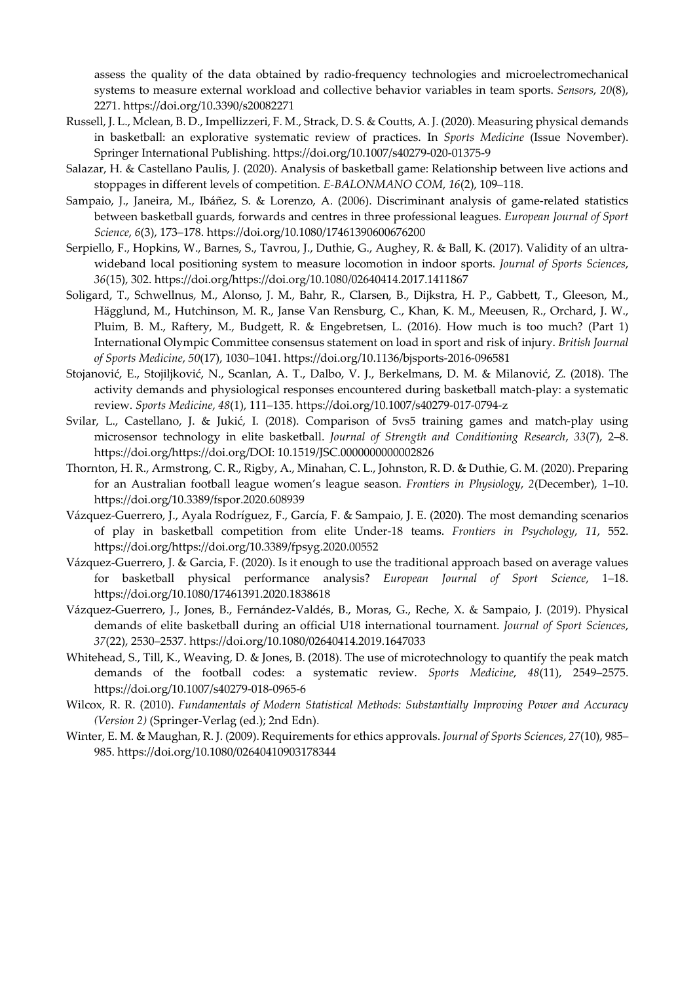assess the quality of the data obtained by radio-frequency technologies and microelectromechanical systems to measure external workload and collective behavior variables in team sports. *Sensors*, *20*(8), 2271. https://doi.org/10.3390/s20082271

- Russell, J. L., Mclean, B. D., Impellizzeri, F. M., Strack, D. S. & Coutts, A. J. (2020). Measuring physical demands in basketball: an explorative systematic review of practices. In *Sports Medicine* (Issue November). Springer International Publishing. https://doi.org/10.1007/s40279-020-01375-9
- Salazar, H. & Castellano Paulis, J. (2020). Analysis of basketball game: Relationship between live actions and stoppages in different levels of competition. *E-BALONMANO COM*, *16*(2), 109–118.
- Sampaio, J., Janeira, M., Ibáñez, S. & Lorenzo, A. (2006). Discriminant analysis of game-related statistics between basketball guards, forwards and centres in three professional leagues. *European Journal of Sport Science*, *6*(3), 173–178. https://doi.org/10.1080/17461390600676200
- Serpiello, F., Hopkins, W., Barnes, S., Tavrou, J., Duthie, G., Aughey, R. & Ball, K. (2017). Validity of an ultrawideband local positioning system to measure locomotion in indoor sports. *Journal of Sports Sciences*, *36*(15), 302. https://doi.org/https://doi.org/10.1080/02640414.2017.1411867
- Soligard, T., Schwellnus, M., Alonso, J. M., Bahr, R., Clarsen, B., Dijkstra, H. P., Gabbett, T., Gleeson, M., Hägglund, M., Hutchinson, M. R., Janse Van Rensburg, C., Khan, K. M., Meeusen, R., Orchard, J. W., Pluim, B. M., Raftery, M., Budgett, R. & Engebretsen, L. (2016). How much is too much? (Part 1) International Olympic Committee consensus statement on load in sport and risk of injury. *British Journal of Sports Medicine*, *50*(17), 1030–1041. https://doi.org/10.1136/bjsports-2016-096581
- Stojanović, E., Stojiljković, N., Scanlan, A. T., Dalbo, V. J., Berkelmans, D. M. & Milanović, Z. (2018). The activity demands and physiological responses encountered during basketball match-play: a systematic review. *Sports Medicine*, *48*(1), 111–135. https://doi.org/10.1007/s40279-017-0794-z
- Svilar, L., Castellano, J. & Jukić, I. (2018). Comparison of 5vs5 training games and match-play using microsensor technology in elite basketball. *Journal of Strength and Conditioning Research*, *33*(7), 2–8. https://doi.org/https://doi.org/DOI: 10.1519/JSC.0000000000002826
- Thornton, H. R., Armstrong, C. R., Rigby, A., Minahan, C. L., Johnston, R. D. & Duthie, G. M. (2020). Preparing for an Australian football league women's league season. *Frontiers in Physiology*, *2*(December), 1–10. https://doi.org/10.3389/fspor.2020.608939
- Vázquez-Guerrero, J., Ayala Rodríguez, F., García, F. & Sampaio, J. E. (2020). The most demanding scenarios of play in basketball competition from elite Under-18 teams. *Frontiers in Psychology*, *11*, 552. https://doi.org/https://doi.org/10.3389/fpsyg.2020.00552
- Vázquez-Guerrero, J. & Garcia, F. (2020). Is it enough to use the traditional approach based on average values for basketball physical performance analysis? *European Journal of Sport Science*, 1–18. https://doi.org/10.1080/17461391.2020.1838618
- Vázquez-Guerrero, J., Jones, B., Fernández-Valdés, B., Moras, G., Reche, X. & Sampaio, J. (2019). Physical demands of elite basketball during an official U18 international tournament. *Journal of Sport Sciences*, *37*(22), 2530–2537. https://doi.org/10.1080/02640414.2019.1647033
- Whitehead, S., Till, K., Weaving, D. & Jones, B. (2018). The use of microtechnology to quantify the peak match demands of the football codes: a systematic review. *Sports Medicine*, *48*(11), 2549–2575. https://doi.org/10.1007/s40279-018-0965-6
- Wilcox, R. R. (2010). *Fundamentals of Modern Statistical Methods: Substantially Improving Power and Accuracy (Version 2)* (Springer-Verlag (ed.); 2nd Edn).
- Winter, E. M. & Maughan, R. J. (2009). Requirements for ethics approvals. *Journal of Sports Sciences*, *27*(10), 985– 985. https://doi.org/10.1080/02640410903178344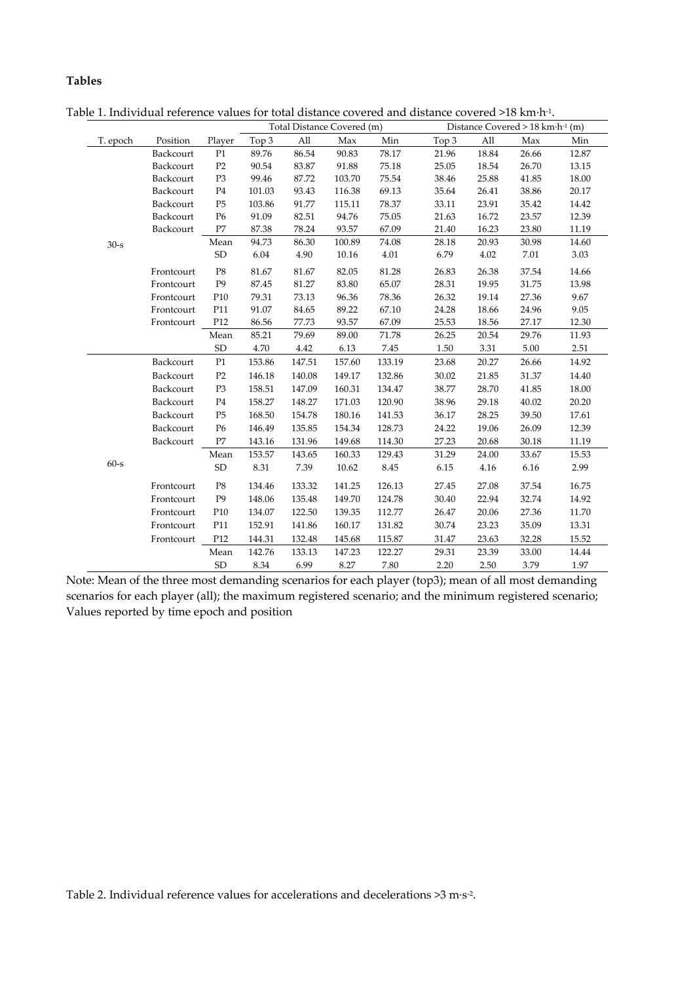# **Tables**

|          |            |                |        |        | Total Distance Covered (m) |           |       | Distance Covered $> 18$ km $\cdot$ h $\cdot$ <sup>1</sup> (m) |          |       |  |  |  |
|----------|------------|----------------|--------|--------|----------------------------|-----------|-------|---------------------------------------------------------------|----------|-------|--|--|--|
| T. epoch | Position   | Player         | Top 3  | All    | Max                        | Min       | Top 3 | All                                                           | Max      | Min   |  |  |  |
|          | Backcourt  | P1             | 89.76  | 86.54  | 90.83                      | $78.17\,$ | 21.96 | 18.84                                                         | 26.66    | 12.87 |  |  |  |
|          | Backcourt  | P2             | 90.54  | 83.87  | 91.88                      | 75.18     | 25.05 | 18.54                                                         | 26.70    | 13.15 |  |  |  |
|          | Backcourt  | P <sub>3</sub> | 99.46  | 87.72  | 103.70                     | 75.54     | 38.46 | 25.88                                                         | 41.85    | 18.00 |  |  |  |
|          | Backcourt  | P <sub>4</sub> | 101.03 | 93.43  | 116.38                     | 69.13     | 35.64 | 26.41                                                         | 38.86    | 20.17 |  |  |  |
|          | Backcourt  | P <sub>5</sub> | 103.86 | 91.77  | 115.11                     | 78.37     | 33.11 | 23.91                                                         | 35.42    | 14.42 |  |  |  |
|          | Backcourt  | P <sub>6</sub> | 91.09  | 82.51  | 94.76                      | 75.05     | 21.63 | 16.72                                                         | 23.57    | 12.39 |  |  |  |
|          | Backcourt  | $\rm P7$       | 87.38  | 78.24  | 93.57                      | 67.09     | 21.40 | 16.23                                                         | 23.80    | 11.19 |  |  |  |
| $30 - s$ |            | Mean           | 94.73  | 86.30  | 100.89                     | 74.08     | 28.18 | 20.93                                                         | 30.98    | 14.60 |  |  |  |
|          |            | ${\rm SD}$     | 6.04   | 4.90   | 10.16                      | 4.01      | 6.79  | 4.02                                                          | 7.01     | 3.03  |  |  |  |
|          | Frontcourt | P8             | 81.67  | 81.67  | 82.05                      | 81.28     | 26.83 | 26.38                                                         | 37.54    | 14.66 |  |  |  |
|          | Frontcourt | P <sub>9</sub> | 87.45  | 81.27  | 83.80                      | 65.07     | 28.31 | 19.95                                                         | 31.75    | 13.98 |  |  |  |
|          | Frontcourt | P10            | 79.31  | 73.13  | 96.36                      | 78.36     | 26.32 | 19.14                                                         | 27.36    | 9.67  |  |  |  |
|          | Frontcourt | P11            | 91.07  | 84.65  | 89.22                      | 67.10     | 24.28 | 18.66                                                         | 24.96    | 9.05  |  |  |  |
|          | Frontcourt | P12            | 86.56  | 77.73  | 93.57                      | 67.09     | 25.53 | 18.56                                                         | 27.17    | 12.30 |  |  |  |
|          |            | Mean           | 85.21  | 79.69  | 89.00                      | 71.78     | 26.25 | 20.54                                                         | 29.76    | 11.93 |  |  |  |
|          |            | ${\rm SD}$     | 4.70   | 4.42   | 6.13                       | 7.45      | 1.50  | 3.31                                                          | $5.00\,$ | 2.51  |  |  |  |
|          | Backcourt  | P <sub>1</sub> | 153.86 | 147.51 | 157.60                     | 133.19    | 23.68 | 20.27                                                         | 26.66    | 14.92 |  |  |  |
|          | Backcourt  | P <sub>2</sub> | 146.18 | 140.08 | 149.17                     | 132.86    | 30.02 | 21.85                                                         | 31.37    | 14.40 |  |  |  |
|          | Backcourt  | P <sub>3</sub> | 158.51 | 147.09 | 160.31                     | 134.47    | 38.77 | 28.70                                                         | 41.85    | 18.00 |  |  |  |
|          | Backcourt  | P <sub>4</sub> | 158.27 | 148.27 | 171.03                     | 120.90    | 38.96 | 29.18                                                         | 40.02    | 20.20 |  |  |  |
|          | Backcourt  | P <sub>5</sub> | 168.50 | 154.78 | 180.16                     | 141.53    | 36.17 | 28.25                                                         | 39.50    | 17.61 |  |  |  |
|          | Backcourt  | P <sub>6</sub> | 146.49 | 135.85 | 154.34                     | 128.73    | 24.22 | 19.06                                                         | 26.09    | 12.39 |  |  |  |
|          | Backcourt  | P7             | 143.16 | 131.96 | 149.68                     | 114.30    | 27.23 | 20.68                                                         | 30.18    | 11.19 |  |  |  |
|          |            | Mean           | 153.57 | 143.65 | 160.33                     | 129.43    | 31.29 | 24.00                                                         | 33.67    | 15.53 |  |  |  |
| $60 - s$ |            | ${\rm SD}$     | 8.31   | 7.39   | 10.62                      | 8.45      | 6.15  | 4.16                                                          | 6.16     | 2.99  |  |  |  |
|          | Frontcourt | P8             | 134.46 | 133.32 | 141.25                     | 126.13    | 27.45 | 27.08                                                         | 37.54    | 16.75 |  |  |  |
|          | Frontcourt | P <sub>9</sub> | 148.06 | 135.48 | 149.70                     | 124.78    | 30.40 | 22.94                                                         | 32.74    | 14.92 |  |  |  |
|          | Frontcourt | P10            | 134.07 | 122.50 | 139.35                     | 112.77    | 26.47 | 20.06                                                         | 27.36    | 11.70 |  |  |  |
|          | Frontcourt | P11            | 152.91 | 141.86 | 160.17                     | 131.82    | 30.74 | 23.23                                                         | 35.09    | 13.31 |  |  |  |
|          | Frontcourt | P12            | 144.31 | 132.48 | 145.68                     | 115.87    | 31.47 | 23.63                                                         | 32.28    | 15.52 |  |  |  |
|          |            | Mean           | 142.76 | 133.13 | 147.23                     | 122.27    | 29.31 | 23.39                                                         | 33.00    | 14.44 |  |  |  |
|          |            | <b>SD</b>      | 8.34   | 6.99   | 8.27                       | 7.80      | 2.20  | 2.50                                                          | 3.79     | 1.97  |  |  |  |

Table 1. Individual reference values for total distance covered and distance covered >18 km·h-1.

Note: Mean of the three most demanding scenarios for each player (top3); mean of all most demanding scenarios for each player (all); the maximum registered scenario; and the minimum registered scenario; Values reported by time epoch and position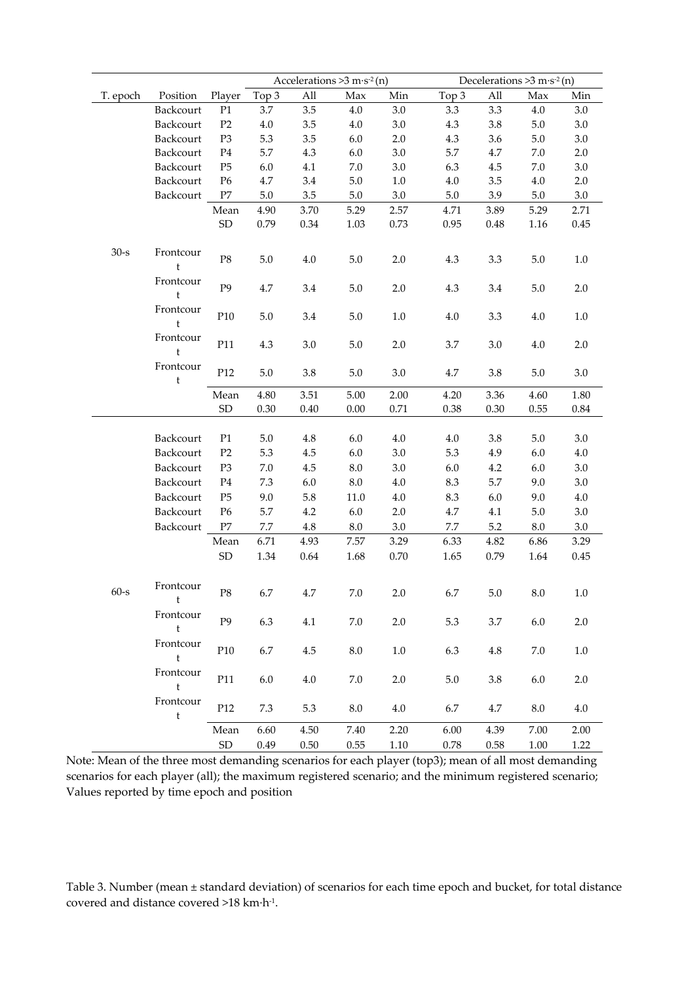|          |                             |                |         |         | Accelerations $>3$ m·s <sup>-2</sup> (n) |          | Decelerations $>3$ m·s <sup>-2</sup> (n) |      |         |         |  |  |
|----------|-----------------------------|----------------|---------|---------|------------------------------------------|----------|------------------------------------------|------|---------|---------|--|--|
| T. epoch | Position                    | Player         | Top 3   | All     | Max                                      | Min      | Top 3                                    | All  | Max     | Min     |  |  |
|          | Backcourt                   | P <sub>1</sub> | 3.7     | 3.5     | 4.0                                      | 3.0      | 3.3                                      | 3.3  | 4.0     | 3.0     |  |  |
|          | Backcourt                   | P <sub>2</sub> | 4.0     | 3.5     | 4.0                                      | 3.0      | 4.3                                      | 3.8  | 5.0     | 3.0     |  |  |
|          | Backcourt                   | P <sub>3</sub> | 5.3     | 3.5     | 6.0                                      | 2.0      | 4.3                                      | 3.6  | 5.0     | 3.0     |  |  |
|          | Backcourt                   | P <sub>4</sub> | 5.7     | 4.3     | 6.0                                      | 3.0      | 5.7                                      | 4.7  | 7.0     | 2.0     |  |  |
|          | Backcourt                   | $\mathbf{P}5$  | 6.0     | 4.1     | 7.0                                      | 3.0      | 6.3                                      | 4.5  | 7.0     | 3.0     |  |  |
|          | Backcourt                   | P <sub>6</sub> | 4.7     | 3.4     | 5.0                                      | 1.0      | 4.0                                      | 3.5  | 4.0     | 2.0     |  |  |
|          | Backcourt                   | P7             | 5.0     | 3.5     | 5.0                                      | 3.0      | 5.0                                      | 3.9  | 5.0     | 3.0     |  |  |
|          |                             | Mean           | 4.90    | 3.70    | 5.29                                     | 2.57     | 4.71                                     | 3.89 | 5.29    | 2.71    |  |  |
|          |                             | <b>SD</b>      | 0.79    | 0.34    | 1.03                                     | 0.73     | 0.95                                     | 0.48 | 1.16    | 0.45    |  |  |
|          |                             |                |         |         |                                          |          |                                          |      |         |         |  |  |
| $30 - s$ | Frontcour<br>$\mathfrak{t}$ | $\mathbf{P8}$  | $5.0\,$ | 4.0     | 5.0                                      | 2.0      | 4.3                                      | 3.3  | 5.0     | 1.0     |  |  |
|          | Frontcour<br>$\mathfrak t$  | P <sub>9</sub> | 4.7     | 3.4     | 5.0                                      | 2.0      | 4.3                                      | 3.4  | 5.0     | 2.0     |  |  |
|          | Frontcour<br>$\mathfrak t$  | P10            | $5.0\,$ | 3.4     | 5.0                                      | 1.0      | 4.0                                      | 3.3  | 4.0     | 1.0     |  |  |
|          | Frontcour<br>$\mathfrak t$  | P11            | 4.3     | 3.0     | 5.0                                      | 2.0      | 3.7                                      | 3.0  | 4.0     | 2.0     |  |  |
|          | Frontcour<br>t              | P12            | 5.0     | 3.8     | 5.0                                      | 3.0      | 4.7                                      | 3.8  | 5.0     | 3.0     |  |  |
|          |                             | Mean           | 4.80    | 3.51    | 5.00                                     | 2.00     | 4.20                                     | 3.36 | 4.60    | 1.80    |  |  |
|          |                             | <b>SD</b>      | 0.30    | 0.40    | 0.00                                     | 0.71     | 0.38                                     | 0.30 | 0.55    | 0.84    |  |  |
|          |                             |                |         |         |                                          |          |                                          |      |         |         |  |  |
|          | Backcourt                   | P <sub>1</sub> | 5.0     | 4.8     | 6.0                                      | 4.0      | 4.0                                      | 3.8  | 5.0     | 3.0     |  |  |
|          | Backcourt                   | P <sub>2</sub> | 5.3     | 4.5     | 6.0                                      | 3.0      | 5.3                                      | 4.9  | 6.0     | $4.0\,$ |  |  |
|          | Backcourt                   | P <sub>3</sub> | 7.0     | 4.5     | 8.0                                      | 3.0      | 6.0                                      | 4.2  | 6.0     | 3.0     |  |  |
|          | Backcourt                   | P <sub>4</sub> | 7.3     | $6.0\,$ | 8.0                                      | 4.0      | 8.3                                      | 5.7  | 9.0     | 3.0     |  |  |
|          | Backcourt                   | P <sub>5</sub> | 9.0     | 5.8     | 11.0                                     | 4.0      | 8.3                                      | 6.0  | 9.0     | $4.0\,$ |  |  |
|          | Backcourt                   | P <sub>6</sub> | 5.7     | 4.2     | 6.0                                      | 2.0      | 4.7                                      | 4.1  | $5.0\,$ | $3.0\,$ |  |  |
|          | Backcourt                   | $\rm P7$       | $7.7\,$ | $4.8\,$ | 8.0                                      | 3.0      | 7.7                                      | 5.2  | $8.0\,$ | 3.0     |  |  |
|          |                             | Mean           | 6.71    | 4.93    | 7.57                                     | 3.29     | 6.33                                     | 4.82 | 6.86    | 3.29    |  |  |
|          |                             | <b>SD</b>      | 1.34    | 0.64    | 1.68                                     | 0.70     | 1.65                                     | 0.79 | 1.64    | 0.45    |  |  |
|          |                             |                |         |         |                                          |          |                                          |      |         |         |  |  |
| $60-s$   | Frontcour                   | $\mathbf{P8}$  | 6.7     | 4.7     | 7.0                                      | 2.0      | 6.7                                      | 5.0  | 8.0     | 1.0     |  |  |
|          | Frontcour<br>$\mathbf t$    | P <sub>9</sub> | 6.3     | 4.1     | 7.0                                      | 2.0      | 5.3                                      | 3.7  | $6.0\,$ | 2.0     |  |  |
|          | Frontcour<br>t              | P10            | 6.7     | 4.5     | $8.0\,$                                  | $1.0\,$  | 6.3                                      | 4.8  | 7.0     | $1.0\,$ |  |  |
|          | Frontcour<br>$\mathfrak t$  | P11            | 6.0     | 4.0     | 7.0                                      | 2.0      | $5.0\,$                                  | 3.8  | 6.0     | 2.0     |  |  |
|          | Frontcour<br>$\mathsf t$    | P12            | 7.3     | 5.3     | 8.0                                      | 4.0      | 6.7                                      | 4.7  | 8.0     | $4.0\,$ |  |  |
|          |                             | Mean           | 6.60    | 4.50    | 7.40                                     | 2.20     | 6.00                                     | 4.39 | 7.00    | 2.00    |  |  |
|          |                             | ${\rm SD}$     | 0.49    | 0.50    | 0.55                                     | $1.10\,$ | 0.78                                     | 0.58 | 1.00    | 1.22    |  |  |

Note: Mean of the three most demanding scenarios for each player (top3); mean of all most demanding scenarios for each player (all); the maximum registered scenario; and the minimum registered scenario; Values reported by time epoch and position

Table 3. Number (mean ± standard deviation) of scenarios for each time epoch and bucket, for total distance covered and distance covered >18 km·h-1.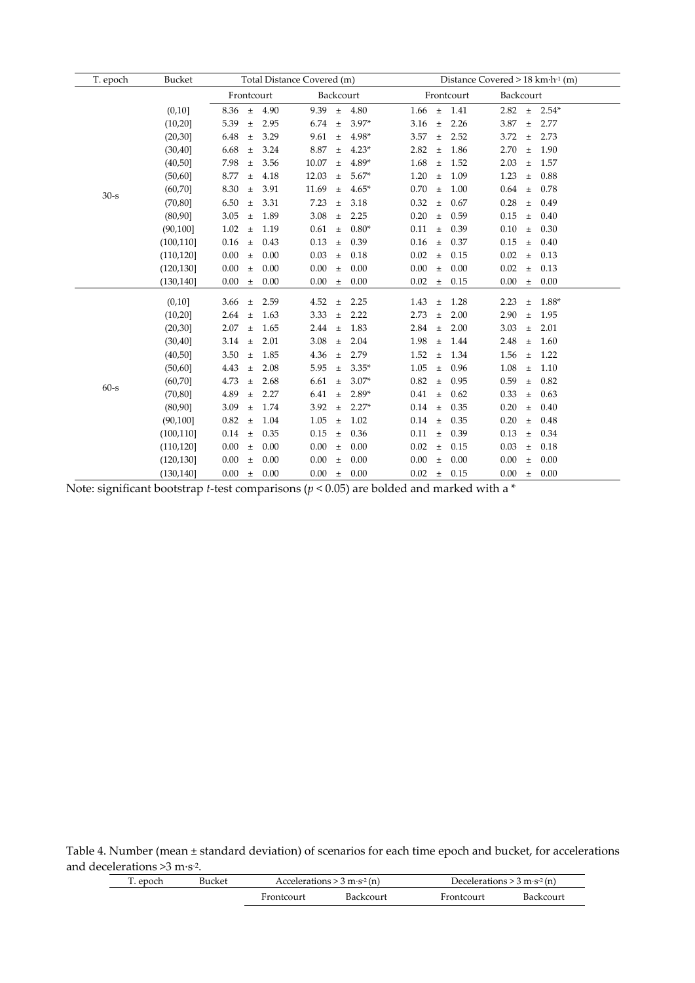| T. epoch | Bucket     |               |      | Total Distance Covered (m) |                    | Distance Covered $> 18$ km $\cdot$ h <sup>-1</sup> (m) |                        |  |  |  |  |
|----------|------------|---------------|------|----------------------------|--------------------|--------------------------------------------------------|------------------------|--|--|--|--|
|          |            | Frontcourt    |      | Backcourt                  |                    | Frontcourt                                             | Backcourt              |  |  |  |  |
|          | (0,10]     | $\pm$<br>8.36 | 4.90 | 9.39<br>$\pm$              | 4.80<br>$1.66 \pm$ | 1.41                                                   | 2.82<br>$\pm$ 2.54*    |  |  |  |  |
|          | (10,20]    | 5.39<br>$\pm$ | 2.95 | 6.74<br>$\pm$              | $3.97*$<br>3.16    | 2.26<br>$\pm$                                          | 3.87<br>2.77<br>$\pm$  |  |  |  |  |
|          | (20, 30)   | 6.48<br>$\pm$ | 3.29 | 9.61<br>$\pm$              | 4.98*<br>3.57      | 2.52<br>$\pm$                                          | 3.72<br>2.73<br>$\pm$  |  |  |  |  |
|          | (30, 40]   | 6.68<br>$\pm$ | 3.24 | 8.87<br>$\pm$              | $4.23*$<br>2.82    | 1.86<br>$\pm$                                          | 2.70<br>1.90<br>$\pm$  |  |  |  |  |
|          | (40, 50]   | 7.98<br>$\pm$ | 3.56 | 10.07<br>$\pm$             | 4.89*<br>1.68      | 1.52<br>$\pm$                                          | 2.03<br>1.57<br>$\pm$  |  |  |  |  |
|          | (50, 60]   | 8.77<br>$\pm$ | 4.18 | 12.03<br>$\pm$             | $5.67*$<br>1.20    | 1.09<br>$\pm$                                          | 1.23<br>$\pm$<br>0.88  |  |  |  |  |
| $30-s$   | (60, 70]   | 8.30<br>$\pm$ | 3.91 | 11.69<br>$\pm$             | $4.65*$<br>0.70    | 1.00<br>$\pm$                                          | 0.64<br>0.78<br>$\pm$  |  |  |  |  |
|          | (70, 80]   | 6.50<br>$\pm$ | 3.31 | 7.23<br>$\pm$              | 0.32<br>3.18       | 0.67<br>$\pm$                                          | 0.28<br>0.49<br>$\pm$  |  |  |  |  |
|          | (80, 90]   | 3.05<br>$\pm$ | 1.89 | 3.08<br>$\pm$              | 2.25<br>0.20       | 0.59<br>$\pm$                                          | 0.15<br>0.40<br>$\pm$  |  |  |  |  |
|          | (90, 100]  | 1.02<br>$\pm$ | 1.19 | 0.61<br>$\pm$              | $0.80*$<br>0.11    | 0.39<br>$\pm$                                          | 0.10<br>0.30<br>$\pm$  |  |  |  |  |
|          | (100, 110] | 0.16<br>$\pm$ | 0.43 | 0.13<br>$\pm$              | 0.39<br>0.16       | 0.37<br>$\pm$                                          | 0.15<br>0.40<br>$\pm$  |  |  |  |  |
|          | (110, 120) | 0.00<br>$\pm$ | 0.00 | 0.03<br>$\pm$              | 0.18<br>0.02       | 0.15<br>$\pm$                                          | 0.02<br>0.13<br>$\pm$  |  |  |  |  |
|          | (120, 130) | 0.00<br>$\pm$ | 0.00 | 0.00<br>$\pm$              | 0.00<br>0.00       | 0.00<br>$\pm$                                          | 0.02<br>$\pm$<br>0.13  |  |  |  |  |
|          | (130, 140] | 0.00<br>$\pm$ | 0.00 | 0.00<br>$\pm$              | 0.00<br>0.02       | 0.15<br>$\pm$                                          | 0.00<br>0.00<br>$\pm$  |  |  |  |  |
|          | (0,10]     | 3.66<br>$\pm$ | 2.59 | 4.52<br>$\pm$              | 2.25<br>1.43       | 1.28<br>$\pm$                                          | 1.88*<br>2.23<br>$\pm$ |  |  |  |  |
|          | (10, 20)   | 2.64<br>$\pm$ | 1.63 | 3.33<br>$\pm$              | 2.22<br>2.73       | 2.00<br>$\pm$                                          | 2.90<br>1.95<br>$\pm$  |  |  |  |  |
|          | (20, 30)   | 2.07<br>$\pm$ | 1.65 | 2.44<br>$\pm$              | 1.83<br>2.84       | 2.00<br>$\pm$                                          | 3.03<br>2.01<br>$\pm$  |  |  |  |  |
|          | (30, 40]   | 3.14<br>$\pm$ | 2.01 | 3.08<br>$\pm$              | 2.04<br>1.98       | 1.44<br>$\pm$                                          | 2.48<br>1.60<br>$\pm$  |  |  |  |  |
|          | (40,50]    | 3.50<br>$\pm$ | 1.85 | 4.36<br>$\pm$              | 2.79<br>1.52       | 1.34<br>$\pm$                                          | 1.56<br>1.22<br>$\pm$  |  |  |  |  |
|          | (50, 60]   | 4.43<br>$\pm$ | 2.08 | 5.95<br>$\pm$              | $3.35*$<br>1.05    | 0.96<br>$\pm$                                          | 1.08<br>1.10<br>$\pm$  |  |  |  |  |
|          | (60, 70]   | 4.73<br>$\pm$ | 2.68 | 6.61<br>$\pm$              | $3.07*$<br>0.82    | 0.95<br>$\pm$                                          | 0.59<br>0.82<br>$\pm$  |  |  |  |  |
| $60-s$   | (70, 80]   | 4.89<br>$\pm$ | 2.27 | 6.41<br>$\pm$              | 2.89*<br>0.41      | 0.62<br>$\pm$                                          | 0.33<br>$\pm$<br>0.63  |  |  |  |  |
|          | (80, 90]   | 3.09<br>$\pm$ | 1.74 | 3.92<br>$\pm$              | $2.27*$<br>0.14    | 0.35<br>$\pm$                                          | 0.20<br>0.40<br>$\pm$  |  |  |  |  |
|          | (90, 100]  | 0.82<br>$\pm$ | 1.04 | 1.05<br>$\pm$              | 1.02<br>0.14       | 0.35<br>$\pm$                                          | 0.20<br>0.48<br>$\pm$  |  |  |  |  |
|          | (100, 110] | 0.14<br>$\pm$ | 0.35 | 0.15<br>$\pm$              | 0.11<br>0.36       | 0.39<br>$\pm$                                          | 0.13<br>0.34<br>$\pm$  |  |  |  |  |
|          | (110, 120) | 0.00<br>$\pm$ | 0.00 | 0.00<br>$\pm$              | $0.00\,$<br>0.02   | 0.15<br>$\pm$                                          | 0.03<br>0.18<br>$\pm$  |  |  |  |  |
|          | (120, 130) | 0.00<br>$\pm$ | 0.00 | 0.00<br>$\pm$              | 0.00<br>0.00       | 0.00<br>$\ddot{}$                                      | 0.00<br>0.00<br>$\pm$  |  |  |  |  |
|          | (130, 140] | 0.00<br>$\pm$ | 0.00 | 0.00<br>$\pm$ 0.00         | 0.02               | 0.15<br>$\pm$                                          | 0.00<br>$\pm$ 0.00     |  |  |  |  |

Note: significant bootstrap *t*-test comparisons (*p* < 0.05) are bolded and marked with a \*

Table 4. Number (mean ± standard deviation) of scenarios for each time epoch and bucket, for accelerations and decelerations >3 m·s-2.

| 1. epoch | Bucket |            | Accelerations $> 3$ m·s <sup>-2</sup> (n) |            | Decelerations $> 3 \text{ m} \cdot \text{s}^{-2}$ (n) |  |  |
|----------|--------|------------|-------------------------------------------|------------|-------------------------------------------------------|--|--|
|          |        | Frontcourt | Backcourt                                 | Frontcourt | Backcourt                                             |  |  |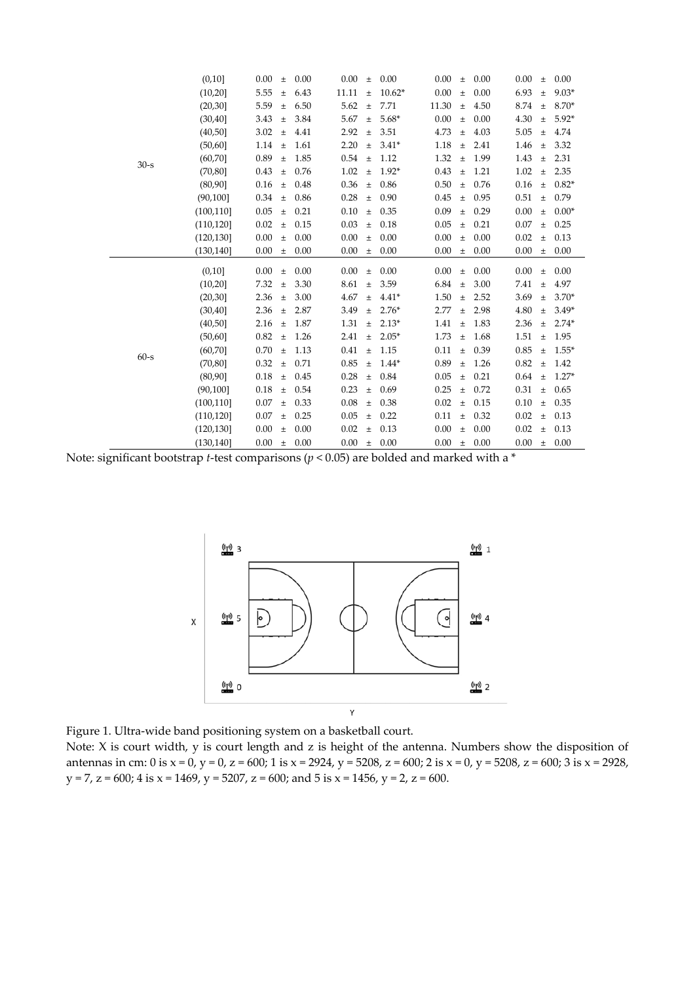|        | (0,10]     | 0.00 | $\pm$ | 0.00 | 0.00  | $\pm$ | 0.00     | 0.00  | $\pm$ | 0.00 | 0.00 | $\pm$ | 0.00    |
|--------|------------|------|-------|------|-------|-------|----------|-------|-------|------|------|-------|---------|
|        | (10,20]    | 5.55 | $\pm$ | 6.43 | 11.11 | $\pm$ | $10.62*$ | 0.00  | $\pm$ | 0.00 | 6.93 | $\pm$ | $9.03*$ |
|        | (20, 30]   | 5.59 | $\pm$ | 6.50 | 5.62  | $\pm$ | 7.71     | 11.30 | $\pm$ | 4.50 | 8.74 | $\pm$ | 8.70*   |
|        | (30, 40]   | 3.43 | $\pm$ | 3.84 | 5.67  | $\pm$ | $5.68*$  | 0.00  | $\pm$ | 0.00 | 4.30 | $\pm$ | $5.92*$ |
|        | (40, 50]   | 3.02 | $\pm$ | 4.41 | 2.92  | $\pm$ | 3.51     | 4.73  | $\pm$ | 4.03 | 5.05 | $\pm$ | 4.74    |
|        | (50, 60]   | 1.14 | $\pm$ | 1.61 | 2.20  | $\pm$ | $3.41*$  | 1.18  | $\pm$ | 2.41 | 1.46 | $\pm$ | 3.32    |
| $30-s$ | (60, 70]   | 0.89 | $\pm$ | 1.85 | 0.54  | $\pm$ | 1.12     | 1.32  | $\pm$ | 1.99 | 1.43 | $\pm$ | 2.31    |
|        | (70, 80]   | 0.43 | $\pm$ | 0.76 | 1.02  | $\pm$ | $1.92*$  | 0.43  | $\pm$ | 1.21 | 1.02 | $\pm$ | 2.35    |
|        | (80, 90]   | 0.16 | $\pm$ | 0.48 | 0.36  | $\pm$ | 0.86     | 0.50  | $\pm$ | 0.76 | 0.16 | $\pm$ | $0.82*$ |
|        | (90, 100]  | 0.34 | $\pm$ | 0.86 | 0.28  | $\pm$ | 0.90     | 0.45  | $\pm$ | 0.95 | 0.51 | $\pm$ | 0.79    |
|        | (100, 110] | 0.05 | $\pm$ | 0.21 | 0.10  | $\pm$ | 0.35     | 0.09  | $\pm$ | 0.29 | 0.00 | $\pm$ | $0.00*$ |
|        | (110, 120] | 0.02 | $\pm$ | 0.15 | 0.03  | $\pm$ | 0.18     | 0.05  | $\pm$ | 0.21 | 0.07 | $\pm$ | 0.25    |
|        | (120, 130) | 0.00 | $\pm$ | 0.00 | 0.00  | $\pm$ | 0.00     | 0.00  | $\pm$ | 0.00 | 0.02 | $\pm$ | 0.13    |
|        | (130, 140) | 0.00 | $\pm$ | 0.00 | 0.00  | $\pm$ | 0.00     | 0.00  | $\pm$ | 0.00 | 0.00 | $\pm$ | 0.00    |
|        | (0,10]     | 0.00 | $\pm$ | 0.00 | 0.00  | $\pm$ | 0.00     | 0.00  | $\pm$ | 0.00 | 0.00 | $\pm$ | 0.00    |
|        | (10,20]    | 7.32 | $\pm$ | 3.30 | 8.61  | $\pm$ | 3.59     | 6.84  | $\pm$ | 3.00 | 7.41 | $\pm$ | 4.97    |
|        | (20, 30]   | 2.36 | $\pm$ | 3.00 | 4.67  | $\pm$ | $4.41*$  | 1.50  | $\pm$ | 2.52 | 3.69 | $\pm$ | $3.70*$ |
|        | (30, 40]   | 2.36 | $\pm$ | 2.87 | 3.49  | $\pm$ | $2.76*$  | 2.77  | $\pm$ | 2.98 | 4.80 | $\pm$ | $3.49*$ |
|        | (40, 50]   | 2.16 | $\pm$ | 1.87 | 1.31  | $\pm$ | $2.13*$  | 1.41  | $\pm$ | 1.83 | 2.36 | $\pm$ | $2.74*$ |
|        | (50, 60]   | 0.82 | $\pm$ | 1.26 | 2.41  | $\pm$ | $2.05*$  | 1.73  | $\pm$ | 1.68 | 1.51 | $\pm$ | 1.95    |
| $60-s$ | (60, 70]   | 0.70 | $\pm$ | 1.13 | 0.41  | $\pm$ | 1.15     | 0.11  | $\pm$ | 0.39 | 0.85 | $\pm$ | $1.55*$ |
|        | (70, 80]   | 0.32 | $\pm$ | 0.71 | 0.85  | $\pm$ | $1.44*$  | 0.89  | $\pm$ | 1.26 | 0.82 | $\pm$ | 1.42    |
|        | (80, 90]   | 0.18 | $\pm$ | 0.45 | 0.28  | $\pm$ | 0.84     | 0.05  | $\pm$ | 0.21 | 0.64 | $\pm$ | $1.27*$ |
|        | (90, 100]  | 0.18 | $\pm$ | 0.54 | 0.23  | $\pm$ | 0.69     | 0.25  | $\pm$ | 0.72 | 0.31 | $\pm$ | 0.65    |
|        | (100, 110] | 0.07 | $\pm$ | 0.33 | 0.08  | $\pm$ | 0.38     | 0.02  | $\pm$ | 0.15 | 0.10 | $\pm$ | 0.35    |
|        | (110, 120] | 0.07 | $\pm$ | 0.25 | 0.05  | $\pm$ | 0.22     | 0.11  | $\pm$ | 0.32 | 0.02 | $\pm$ | 0.13    |
|        | (120, 130) | 0.00 | $\pm$ | 0.00 | 0.02  | $\pm$ | 0.13     | 0.00  | $\pm$ | 0.00 | 0.02 | $\pm$ | 0.13    |
|        | (130, 140) | 0.00 | $\pm$ | 0.00 | 0.00  | $\pm$ | 0.00     | 0.00  | $\pm$ | 0.00 | 0.00 | $\pm$ | 0.00    |

Note: significant bootstrap *t*-test comparisons (*p* < 0.05) are bolded and marked with a \*



Figure 1. Ultra-wide band positioning system on a basketball court.

Note: X is court width, y is court length and z is height of the antenna. Numbers show the disposition of antennas in cm: 0 is  $x = 0$ ,  $y = 0$ ,  $z = 600$ ; 1 is  $x = 2924$ ,  $y = 5208$ ,  $z = 600$ ; 2 is  $x = 0$ ,  $y = 5208$ ,  $z = 600$ ; 3 is  $x = 2928$ ,  $y = 7$ ,  $z = 600$ ; 4 is  $x = 1469$ ,  $y = 5207$ ,  $z = 600$ ; and 5 is  $x = 1456$ ,  $y = 2$ ,  $z = 600$ .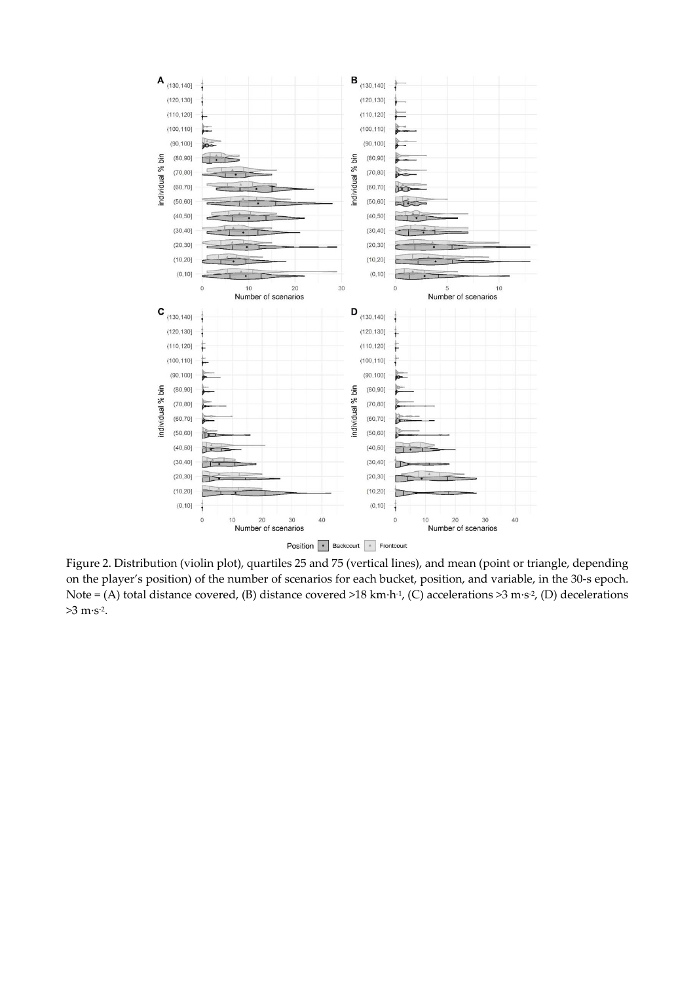

Figure 2. Distribution (violin plot), quartiles 25 and 75 (vertical lines), and mean (point or triangle, depending on the player's position) of the number of scenarios for each bucket, position, and variable, in the 30-s epoch. Note = (A) total distance covered, (B) distance covered >18 km·h<sup>-1</sup>, (C) accelerations >3 m·s<sup>-2</sup>, (D) decelerations  $>3 \text{ m} \cdot \text{s}^{-2}$ .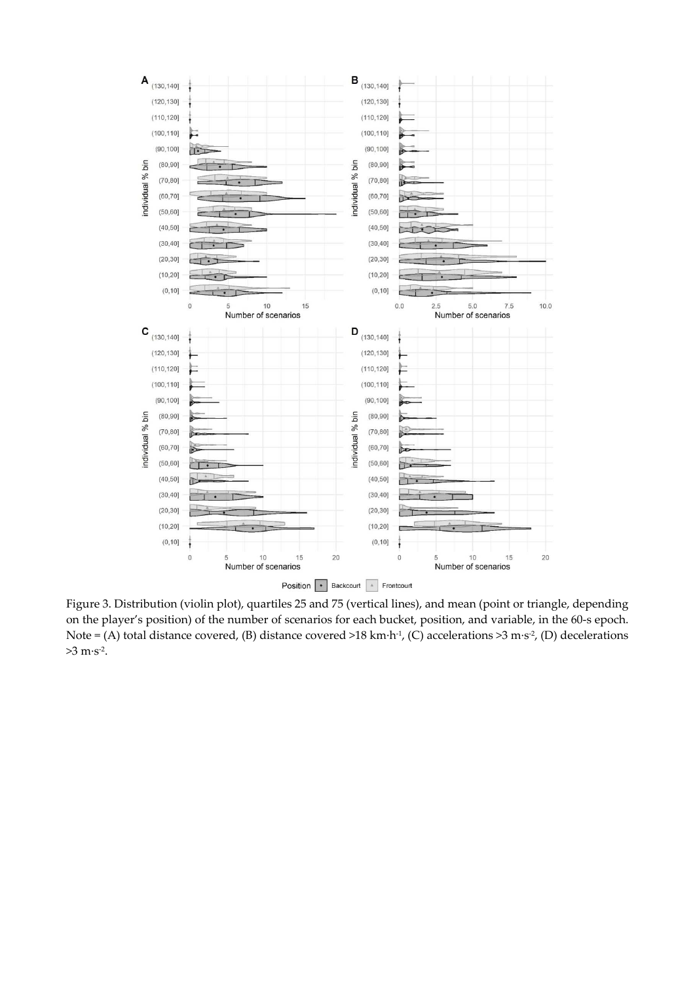

Figure 3. Distribution (violin plot), quartiles 25 and 75 (vertical lines), and mean (point or triangle, depending on the player's position) of the number of scenarios for each bucket, position, and variable, in the 60-s epoch. Note = (A) total distance covered, (B) distance covered >18 km·h<sup>-1</sup>, (C) accelerations >3 m·s<sup>-2</sup>, (D) decelerations >3 m·s-2.